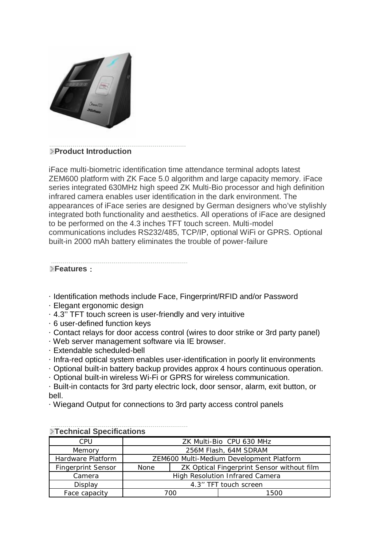

## **Product Introduction**

iFace multi-biometric identification time attendance terminal adopts latest ZEM600 platform with ZK Face 5.0 algorithm and large capacity memory. iFace series integrated 630MHz high speed ZK Multi-Bio processor and high definition infrared camera enables user identification in the dark environment. The appearances of iFace series are designed by German designers who've stylishly integrated both functionality and aesthetics. All operations of iFace are designed to be performed on the 4.3 inches TFT touch screen. Multi-model communications includes RS232/485, TCP/IP, optional WiFi or GPRS. Optional built-in 2000 mAh battery eliminates the trouble of power-failure

## **Features:**

- · Identification methods include Face, Fingerprint/RFID and/or Password
- · Elegant ergonomic design
- · 4.3'' TFT touch screen is user-friendly and very intuitive
- · 6 user-defined function keys
- · Contact relays for door access control (wires to door strike or 3rd party panel)
- · Web server management software via IE browser.
- · Extendable scheduled-bell
- · Infra-red optical system enables user-identification in poorly lit environments
- · Optional built-in battery backup provides approx 4 hours continuous operation.
- · Optional built-in wireless Wi-Fi or GPRS for wireless communication.

· Built-in contacts for 3rd party electric lock, door sensor, alarm, exit button, or bell.

· Wiegand Output for connections to 3rd party access control panels

| <b>Experienced Opechroations</b> |                                          |                                            |      |  |  |
|----------------------------------|------------------------------------------|--------------------------------------------|------|--|--|
| CPU                              | ZK Multi-Bio CPU 630 MHz                 |                                            |      |  |  |
| Memory                           | 256M Flash, 64M SDRAM                    |                                            |      |  |  |
| Hardware Platform                | ZEM600 Multi-Medium Development Platform |                                            |      |  |  |
| <b>Fingerprint Sensor</b>        | <b>None</b>                              | ZK Optical Fingerprint Sensor without film |      |  |  |
| Camera                           | <b>High Resolution Infrared Camera</b>   |                                            |      |  |  |
| Display                          | 4.3" TFT touch screen                    |                                            |      |  |  |
| Face capacity                    | 700                                      |                                            | 1500 |  |  |

## **Technical Specifications**